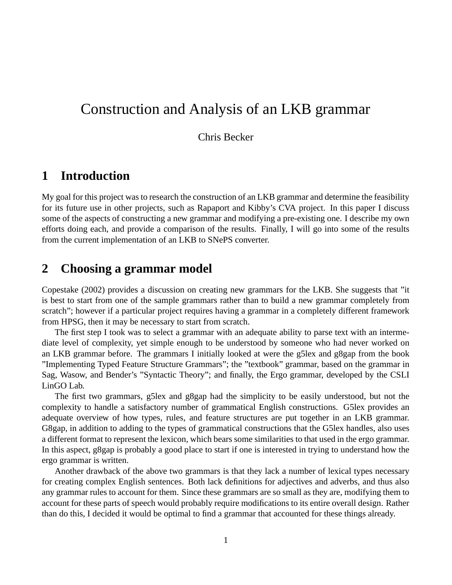# Construction and Analysis of an LKB grammar

### Chris Becker

## **1 Introduction**

My goal for this project was to research the construction of an LKB grammar and determine the feasibility for its future use in other projects, such as Rapaport and Kibby's CVA project. In this paper I discuss some of the aspects of constructing a new grammar and modifying a pre-existing one. I describe my own efforts doing each, and provide a comparison of the results. Finally, I will go into some of the results from the current implementation of an LKB to SNePS converter.

## **2 Choosing a grammar model**

Copestake (2002) provides a discussion on creating new grammars for the LKB. She suggests that "it is best to start from one of the sample grammars rather than to build a new grammar completely from scratch"; however if a particular project requires having a grammar in a completely different framework from HPSG, then it may be necessary to start from scratch.

The first step I took was to select a grammar with an adequate ability to parse text with an intermediate level of complexity, yet simple enough to be understood by someone who had never worked on an LKB grammar before. The grammars I initially looked at were the g5lex and g8gap from the book "Implementing Typed Feature Structure Grammars"; the "textbook" grammar, based on the grammar in Sag, Wasow, and Bender's "Syntactic Theory"; and finally, the Ergo grammar, developed by the CSLI LinGO Lab.

The first two grammars, g5lex and g8gap had the simplicity to be easily understood, but not the complexity to handle a satisfactory number of grammatical English constructions. G5lex provides an adequate overview of how types, rules, and feature structures are put together in an LKB grammar. G8gap, in addition to adding to the types of grammatical constructions that the G5lex handles, also uses a different format to represent the lexicon, which bears some similarities to that used in the ergo grammar. In this aspect, g8gap is probably a good place to start if one is interested in trying to understand how the ergo grammar is written.

Another drawback of the above two grammars is that they lack a number of lexical types necessary for creating complex English sentences. Both lack definitions for adjectives and adverbs, and thus also any grammar rules to account for them. Since these grammars are so small as they are, modifying them to account for these parts of speech would probably require modifications to its entire overall design. Rather than do this, I decided it would be optimal to find a grammar that accounted for these things already.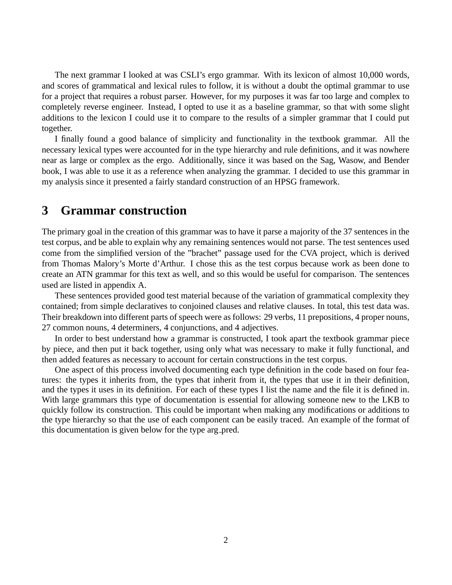The next grammar I looked at was CSLI's ergo grammar. With its lexicon of almost 10,000 words, and scores of grammatical and lexical rules to follow, it is without a doubt the optimal grammar to use for a project that requires a robust parser. However, for my purposes it was far too large and complex to completely reverse engineer. Instead, I opted to use it as a baseline grammar, so that with some slight additions to the lexicon I could use it to compare to the results of a simpler grammar that I could put together.

I finally found a good balance of simplicity and functionality in the textbook grammar. All the necessary lexical types were accounted for in the type hierarchy and rule definitions, and it was nowhere near as large or complex as the ergo. Additionally, since it was based on the Sag, Wasow, and Bender book, I was able to use it as a reference when analyzing the grammar. I decided to use this grammar in my analysis since it presented a fairly standard construction of an HPSG framework.

## **3 Grammar construction**

The primary goal in the creation of this grammar was to have it parse a majority of the 37 sentences in the test corpus, and be able to explain why any remaining sentences would not parse. The test sentences used come from the simplified version of the "brachet" passage used for the CVA project, which is derived from Thomas Malory's Morte d'Arthur. I chose this as the test corpus because work as been done to create an ATN grammar for this text as well, and so this would be useful for comparison. The sentences used are listed in appendix A.

These sentences provided good test material because of the variation of grammatical complexity they contained; from simple declaratives to conjoined clauses and relative clauses. In total, this test data was. Their breakdown into different parts of speech were as follows: 29 verbs, 11 prepositions, 4 proper nouns, 27 common nouns, 4 determiners, 4 conjunctions, and 4 adjectives.

In order to best understand how a grammar is constructed, I took apart the textbook grammar piece by piece, and then put it back together, using only what was necessary to make it fully functional, and then added features as necessary to account for certain constructions in the test corpus.

One aspect of this process involved documenting each type definition in the code based on four features: the types it inherits from, the types that inherit from it, the types that use it in their definition, and the types it uses in its definition. For each of these types I list the name and the file it is defined in. With large grammars this type of documentation is essential for allowing someone new to the LKB to quickly follow its construction. This could be important when making any modifications or additions to the type hierarchy so that the use of each component can be easily traced. An example of the format of this documentation is given below for the type arg pred.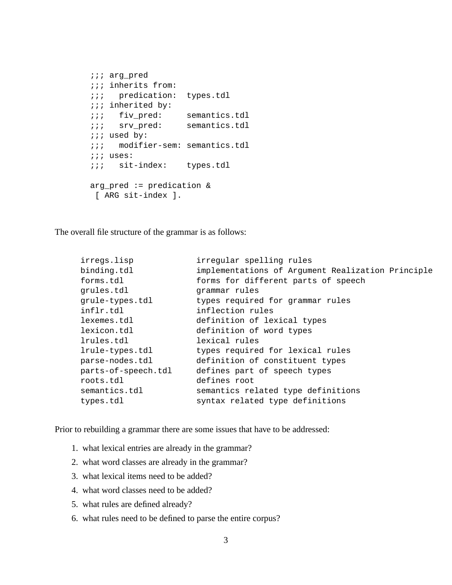```
;;; arg_pred
;;; inherits from:
;;; predication: types.tdl
;;; inherited by:
;;; fiv_pred: semantics.tdl
;;; srv_pred: semantics.tdl
;;; used by:
;;; modifier-sem: semantics.tdl
;;; uses:
;;; sit-index: types.tdl
arg_pred := predication &
 [ ARG sit-index ].
```
The overall file structure of the grammar is as follows:

| irregs.lisp         | irregular spelling rules                          |
|---------------------|---------------------------------------------------|
| binding.tdl         | implementations of Argument Realization Principle |
| forms.tdl           | forms for different parts of speech               |
| grules.tdl          | grammar rules                                     |
| grule-types.tdl     | types required for grammar rules                  |
| inflr.tdl           | inflection rules                                  |
| lexemes.tdl         | definition of lexical types                       |
| lexicon.tdl         | definition of word types                          |
| lrules.tdl          | lexical rules                                     |
| lrule-types.tdl     | types required for lexical rules                  |
| parse-nodes.tdl     | definition of constituent types                   |
| parts-of-speech.tdl | defines part of speech types                      |
| roots.tdl           | defines root                                      |
| semantics.tdl       | semantics related type definitions                |
| types.tdl           | syntax related type definitions                   |
|                     |                                                   |

Prior to rebuilding a grammar there are some issues that have to be addressed:

- 1. what lexical entries are already in the grammar?
- 2. what word classes are already in the grammar?
- 3. what lexical items need to be added?
- 4. what word classes need to be added?
- 5. what rules are defined already?
- 6. what rules need to be defined to parse the entire corpus?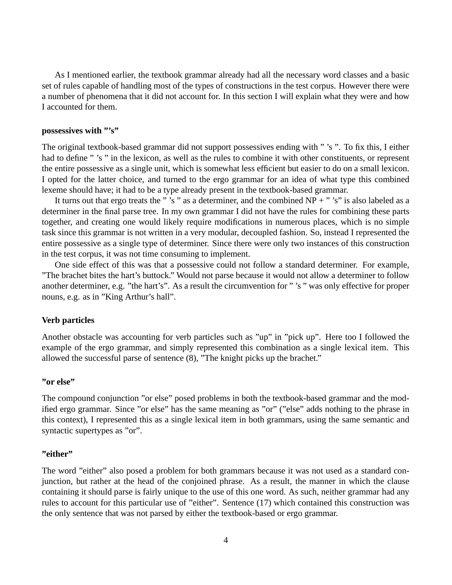As I mentioned earlier, the textbook grammar already had all the necessary word classes and a basic set of rules capable of handling most of the types of constructions in the test corpus. However there were a number of phenomena that it did not account for. In this section I will explain what they were and how I accounted for them.

#### **possessives with "'s"**

The original textbook-based grammar did not support possessives ending with " 's ". To fix this, I either had to define " 's " in the lexicon, as well as the rules to combine it with other constituents, or represent the entire possessive as a single unit, which is somewhat less efficient but easier to do on a small lexicon. I opted for the latter choice, and turned to the ergo grammar for an idea of what type this combined lexeme should have; it had to be a type already present in the textbook-based grammar.

It turns out that ergo treats the " 's " as a determiner, and the combined  $NP +$  " 's" is also labeled as a determiner in the final parse tree. In my own grammar I did not have the rules for combining these parts together, and creating one would likely require modifications in numerous places, which is no simple task since this grammar is not written in a very modular, decoupled fashion. So, instead I represented the entire possessive as a single type of determiner. Since there were only two instances of this construction in the test corpus, it was not time consuming to implement.

One side effect of this was that a possessive could not follow a standard determiner. For example, "The brachet bites the hart's buttock." Would not parse because it would not allow a determiner to follow another determiner, e.g. "the hart's". As a result the circumvention for " 's " was only effective for proper nouns, e.g. as in "King Arthur's hall".

#### **Verb particles**

Another obstacle was accounting for verb particles such as "up" in "pick up". Here too I followed the example of the ergo grammar, and simply represented this combination as a single lexical item. This allowed the successful parse of sentence (8), "The knight picks up the brachet."

#### **"or else"**

The compound conjunction "or else" posed problems in both the textbook-based grammar and the modified ergo grammar. Since "or else" has the same meaning as "or" ("else" adds nothing to the phrase in this context), I represented this as a single lexical item in both grammars, using the same semantic and syntactic supertypes as "or".

#### **"either"**

The word "either" also posed a problem for both grammars because it was not used as a standard conjunction, but rather at the head of the conjoined phrase. As a result, the manner in which the clause containing it should parse is fairly unique to the use of this one word. As such, neither grammar had any rules to account for this particular use of "either". Sentence (17) which contained this construction was the only sentence that was not parsed by either the textbook-based or ergo grammar.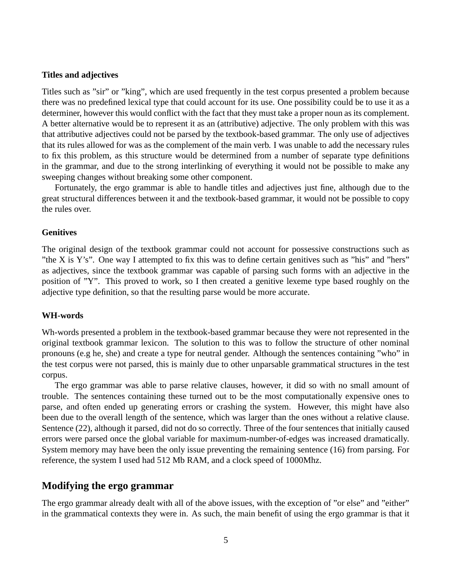#### **Titles and adjectives**

Titles such as "sir" or "king", which are used frequently in the test corpus presented a problem because there was no predefined lexical type that could account for its use. One possibility could be to use it as a determiner, however this would conflict with the fact that they must take a proper noun as its complement. A better alternative would be to represent it as an (attributive) adjective. The only problem with this was that attributive adjectives could not be parsed by the textbook-based grammar. The only use of adjectives that its rules allowed for was as the complement of the main verb. I was unable to add the necessary rules to fix this problem, as this structure would be determined from a number of separate type definitions in the grammar, and due to the strong interlinking of everything it would not be possible to make any sweeping changes without breaking some other component.

Fortunately, the ergo grammar is able to handle titles and adjectives just fine, although due to the great structural differences between it and the textbook-based grammar, it would not be possible to copy the rules over.

#### **Genitives**

The original design of the textbook grammar could not account for possessive constructions such as "the X is Y's". One way I attempted to fix this was to define certain genitives such as "his" and "hers" as adjectives, since the textbook grammar was capable of parsing such forms with an adjective in the position of "Y". This proved to work, so I then created a genitive lexeme type based roughly on the adjective type definition, so that the resulting parse would be more accurate.

#### **WH-words**

Wh-words presented a problem in the textbook-based grammar because they were not represented in the original textbook grammar lexicon. The solution to this was to follow the structure of other nominal pronouns (e.g he, she) and create a type for neutral gender. Although the sentences containing "who" in the test corpus were not parsed, this is mainly due to other unparsable grammatical structures in the test corpus.

The ergo grammar was able to parse relative clauses, however, it did so with no small amount of trouble. The sentences containing these turned out to be the most computationally expensive ones to parse, and often ended up generating errors or crashing the system. However, this might have also been due to the overall length of the sentence, which was larger than the ones without a relative clause. Sentence (22), although it parsed, did not do so correctly. Three of the four sentences that initially caused errors were parsed once the global variable for maximum-number-of-edges was increased dramatically. System memory may have been the only issue preventing the remaining sentence (16) from parsing. For reference, the system I used had 512 Mb RAM, and a clock speed of 1000Mhz.

### **Modifying the ergo grammar**

The ergo grammar already dealt with all of the above issues, with the exception of "or else" and "either" in the grammatical contexts they were in. As such, the main benefit of using the ergo grammar is that it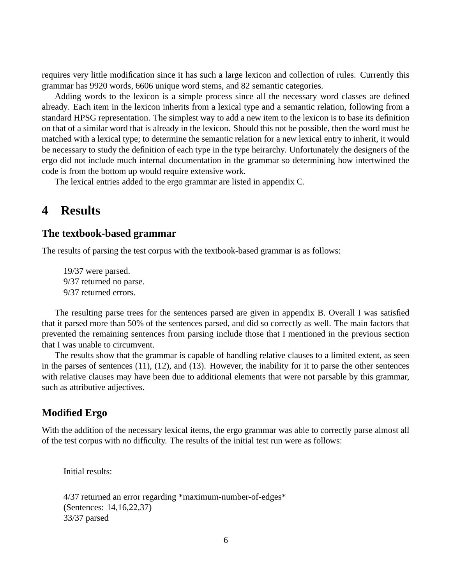requires very little modification since it has such a large lexicon and collection of rules. Currently this grammar has 9920 words, 6606 unique word stems, and 82 semantic categories.

Adding words to the lexicon is a simple process since all the necessary word classes are defined already. Each item in the lexicon inherits from a lexical type and a semantic relation, following from a standard HPSG representation. The simplest way to add a new item to the lexicon is to base its definition on that of a similar word that is already in the lexicon. Should this not be possible, then the word must be matched with a lexical type; to determine the semantic relation for a new lexical entry to inherit, it would be necessary to study the definition of each type in the type heirarchy. Unfortunately the designers of the ergo did not include much internal documentation in the grammar so determining how intertwined the code is from the bottom up would require extensive work.

The lexical entries added to the ergo grammar are listed in appendix C.

### **4 Results**

### **The textbook-based grammar**

The results of parsing the test corpus with the textbook-based grammar is as follows:

19/37 were parsed. 9/37 returned no parse. 9/37 returned errors.

The resulting parse trees for the sentences parsed are given in appendix B. Overall I was satisfied that it parsed more than 50% of the sentences parsed, and did so correctly as well. The main factors that prevented the remaining sentences from parsing include those that I mentioned in the previous section that I was unable to circumvent.

The results show that the grammar is capable of handling relative clauses to a limited extent, as seen in the parses of sentences (11), (12), and (13). However, the inability for it to parse the other sentences with relative clauses may have been due to additional elements that were not parsable by this grammar, such as attributive adjectives.

### **Modified Ergo**

With the addition of the necessary lexical items, the ergo grammar was able to correctly parse almost all of the test corpus with no difficulty. The results of the initial test run were as follows:

Initial results:

```
4/37 returned an error regarding *maximum-number-of-edges*
(Sentences: 14,16,22,37)
33/37 parsed
```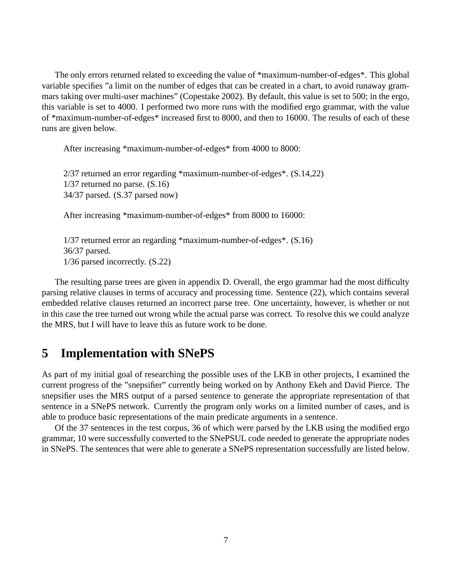The only errors returned related to exceeding the value of \*maximum-number-of-edges\*. This global variable specifies "a limit on the number of edges that can be created in a chart, to avoid runaway grammars taking over multi-user machines" (Copestake 2002). By default, this value is set to 500; in the ergo, this variable is set to 4000. I performed two more runs with the modified ergo grammar, with the value of \*maximum-number-of-edges\* increased first to 8000, and then to 16000. The results of each of these runs are given below.

After increasing \*maximum-number-of-edges\* from 4000 to 8000:

```
2/37 returned an error regarding *maximum-number-of-edges*. (S.14,22)
1/37 returned no parse. (S.16)
34/37 parsed. (S.37 parsed now)
```
After increasing \*maximum-number-of-edges\* from 8000 to 16000:

```
1/37 returned error an regarding *maximum-number-of-edges*. (S.16)
36/37 parsed.
1/36 parsed incorrectly. (S.22)
```
The resulting parse trees are given in appendix D. Overall, the ergo grammar had the most difficulty parsing relative clauses in terms of accuracy and processing time. Sentence (22), which contains several embedded relative clauses returned an incorrect parse tree. One uncertainty, however, is whether or not in this case the tree turned out wrong while the actual parse was correct. To resolve this we could analyze the MRS, but I will have to leave this as future work to be done.

## **5 Implementation with SNePS**

As part of my initial goal of researching the possible uses of the LKB in other projects, I examined the current progress of the "snepsifier" currently being worked on by Anthony Ekeh and David Pierce. The snepsifier uses the MRS output of a parsed sentence to generate the appropriate representation of that sentence in a SNePS network. Currently the program only works on a limited number of cases, and is able to produce basic representations of the main predicate arguments in a sentence.

Of the 37 sentences in the test corpus, 36 of which were parsed by the LKB using the modified ergo grammar, 10 were successfully converted to the SNePSUL code needed to generate the appropriate nodes in SNePS. The sentences that were able to generate a SNePS representation successfully are listed below.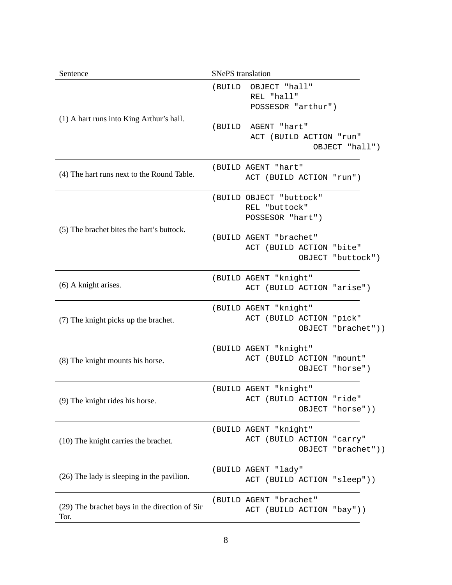| Sentence                                              | <b>SNePS</b> translation                                                                                                                |
|-------------------------------------------------------|-----------------------------------------------------------------------------------------------------------------------------------------|
| (1) A hart runs into King Arthur's hall.              | OBJECT "hall"<br>(BUILD<br>REL "hall"<br>POSSESOR "arthur")<br>(BUILD<br>AGENT "hart"<br>ACT (BUILD ACTION "run"<br>OBJECT "hall")      |
| (4) The hart runs next to the Round Table.            | (BUILD AGENT "hart"<br>ACT (BUILD ACTION "run")                                                                                         |
| (5) The brachet bites the hart's buttock.             | (BUILD OBJECT "buttock"<br>REL "buttock"<br>POSSESOR "hart")<br>(BUILD AGENT "brachet"<br>ACT (BUILD ACTION "bite"<br>OBJECT "buttock") |
| (6) A knight arises.                                  | (BUILD AGENT "knight"<br>ACT (BUILD ACTION "arise")                                                                                     |
| (7) The knight picks up the brachet.                  | (BUILD AGENT "knight"<br>ACT (BUILD ACTION "pick"<br>OBJECT "brachet"))                                                                 |
| (8) The knight mounts his horse.                      | (BUILD AGENT "knight"<br>ACT (BUILD ACTION "mount"<br>OBJECT "horse")                                                                   |
| (9) The knight rides his horse.                       | (BUILD AGENT "knight"<br>ACT (BUILD ACTION "ride"<br>OBJECT "horse"))                                                                   |
| (10) The knight carries the brachet.                  | (BUILD AGENT "knight"<br>ACT (BUILD ACTION "carry"<br>OBJECT "brachet"))                                                                |
| (26) The lady is sleeping in the pavilion.            | (BUILD AGENT "lady"<br>ACT (BUILD ACTION "sleep"))                                                                                      |
| (29) The brachet bays in the direction of Sir<br>Tor. | (BUILD AGENT "brachet"<br>ACT (BUILD ACTION "bay"))                                                                                     |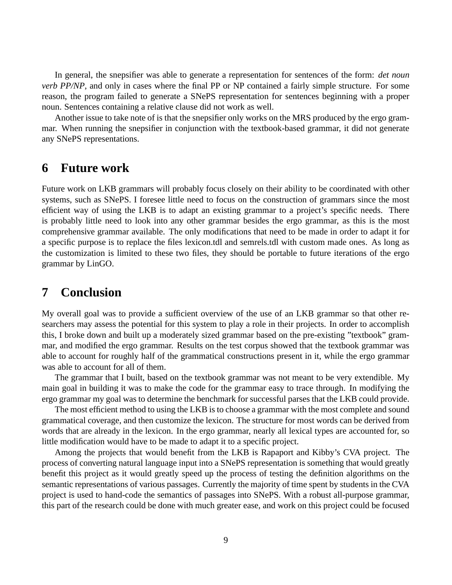In general, the snepsifier was able to generate a representation for sentences of the form: *det noun verb PP/NP*, and only in cases where the final PP or NP contained a fairly simple structure. For some reason, the program failed to generate a SNePS representation for sentences beginning with a proper noun. Sentences containing a relative clause did not work as well.

Another issue to take note of is that the snepsifier only works on the MRS produced by the ergo grammar. When running the snepsifier in conjunction with the textbook-based grammar, it did not generate any SNePS representations.

### **6 Future work**

Future work on LKB grammars will probably focus closely on their ability to be coordinated with other systems, such as SNePS. I foresee little need to focus on the construction of grammars since the most efficient way of using the LKB is to adapt an existing grammar to a project's specific needs. There is probably little need to look into any other grammar besides the ergo grammar, as this is the most comprehensive grammar available. The only modifications that need to be made in order to adapt it for a specific purpose is to replace the files lexicon.tdl and semrels.tdl with custom made ones. As long as the customization is limited to these two files, they should be portable to future iterations of the ergo grammar by LinGO.

## **7 Conclusion**

My overall goal was to provide a sufficient overview of the use of an LKB grammar so that other researchers may assess the potential for this system to play a role in their projects. In order to accomplish this, I broke down and built up a moderately sized grammar based on the pre-existing "textbook" grammar, and modified the ergo grammar. Results on the test corpus showed that the textbook grammar was able to account for roughly half of the grammatical constructions present in it, while the ergo grammar was able to account for all of them.

The grammar that I built, based on the textbook grammar was not meant to be very extendible. My main goal in building it was to make the code for the grammar easy to trace through. In modifying the ergo grammar my goal was to determine the benchmark for successful parses that the LKB could provide.

The most efficient method to using the LKB is to choose a grammar with the most complete and sound grammatical coverage, and then customize the lexicon. The structure for most words can be derived from words that are already in the lexicon. In the ergo grammar, nearly all lexical types are accounted for, so little modification would have to be made to adapt it to a specific project.

Among the projects that would benefit from the LKB is Rapaport and Kibby's CVA project. The process of converting natural language input into a SNePS representation is something that would greatly benefit this project as it would greatly speed up the process of testing the definition algorithms on the semantic representations of various passages. Currently the majority of time spent by students in the CVA project is used to hand-code the semantics of passages into SNePS. With a robust all-purpose grammar, this part of the research could be done with much greater ease, and work on this project could be focused